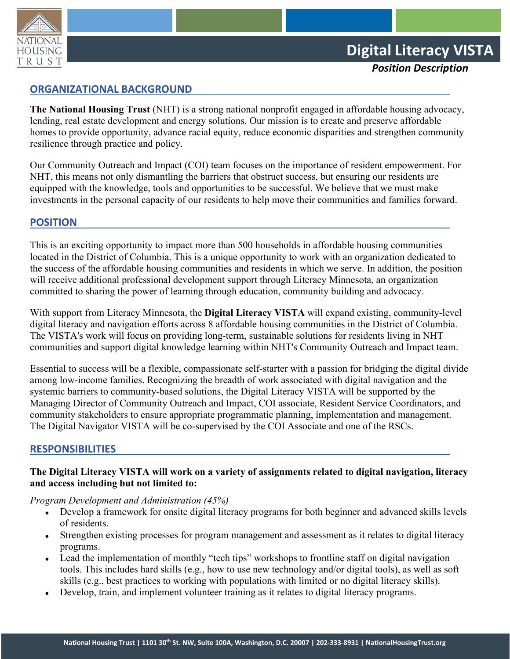

*Position Description*

# **ORGANIZATIONAL BACKGROUND**

**The National Housing Trust** (NHT) is a strong national nonprofit engaged in affordable housing advocacy, lending, real estate development and energy solutions. Our mission is to create and preserve affordable homes to provide opportunity, advance racial equity, reduce economic disparities and strengthen community resilience through practice and policy.

Our Community Outreach and Impact (COI) team focuses on the importance of resident empowerment. For NHT, this means not only dismantling the barriers that obstruct success, but ensuring our residents are equipped with the knowledge, tools and opportunities to be successful. We believe that we must make investments in the personal capacity of our residents to help move their communities and families forward.

# **POSITION**

This is an exciting opportunity to impact more than 500 households in affordable housing communities located in the District of Columbia. This is a unique opportunity to work with an organization dedicated to the success of the affordable housing communities and residents in which we serve. In addition, the position will receive additional professional development support through Literacy Minnesota, an organization committed to sharing the power of learning through education, community building and advocacy.

With support from Literacy Minnesota, the **Digital Literacy VISTA** will expand existing, community-level digital literacy and navigation efforts across 8 affordable housing communities in the District of Columbia. The VISTA's work will focus on providing long-term, sustainable solutions for residents living in NHT communities and support digital knowledge learning within NHT's Community Outreach and Impact team.

Essential to success will be a flexible, compassionate self-starter with a passion for bridging the digital divide among low-income families. Recognizing the breadth of work associated with digital navigation and the systemic barriers to community-based solutions, the Digital Literacy VISTA will be supported by the Managing Director of Community Outreach and Impact, COI associate, Resident Service Coordinators, and community stakeholders to ensure appropriate programmatic planning, implementation and management. The Digital Navigator VISTA will be co-supervised by the COI Associate and one of the RSCs.

#### **RESPONSIBILITIES**

# **The Digital Literacy VISTA will work on a variety of assignments related to digital navigation, literacy and access including but not limited to:**

*Program Development and Administration (45%)*

- Develop a framework for onsite digital literacy programs for both beginner and advanced skills levels of residents.
- Strengthen existing processes for program management and assessment as it relates to digital literacy programs.
- Lead the implementation of monthly "tech tips" workshops to frontline staff on digital navigation tools. This includes hard skills (e.g., how to use new technology and/or digital tools), as well as soft skills (e.g., best practices to working with populations with limited or no digital literacy skills).
- Develop, train, and implement volunteer training as it relates to digital literacy programs.